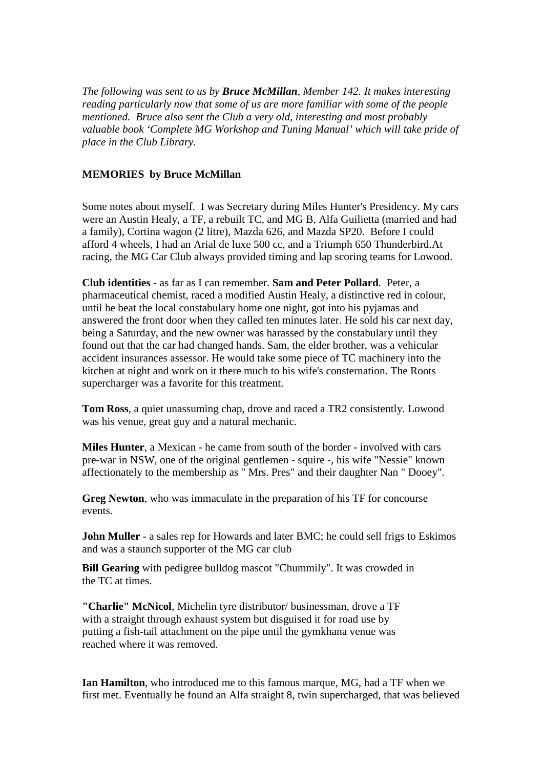*The following was sent to us by Bruce McMillan, Member 142. It makes interesting reading particularly now that some of us are more familiar with some of the people mentioned. Bruce also sent the Club a very old, interesting and most probably valuable book 'Complete MG Workshop and Tuning Manual' which will take pride of place in the Club Library.*

## **MEMORIES by Bruce McMillan**

Some notes about myself. I was Secretary during Miles Hunter's Presidency. My cars were an Austin Healy, a TF, a rebuilt TC, and MG B, Alfa Guilietta (married and had a family), Cortina wagon (2 litre), Mazda 626, and Mazda SP20. Before I could afford 4 wheels, I had an Arial de luxe 500 cc, and a Triumph 650 Thunderbird.At racing, the MG Car Club always provided timing and lap scoring teams for Lowood.

**Club identities** - as far as I can remember. **Sam and Peter Pollard**. Peter, a pharmaceutical chemist, raced a modified Austin Healy, a distinctive red in colour, until he beat the local constabulary home one night, got into his pyjamas and answered the front door when they called ten minutes later. He sold his car next day, being a Saturday, and the new owner was harassed by the constabulary until they found out that the car had changed hands. Sam, the elder brother, was a vehicular accident insurances assessor. He would take some piece of TC machinery into the kitchen at night and work on it there much to his wife's consternation. The Roots supercharger was a favorite for this treatment.

**Tom Ross**, a quiet unassuming chap, drove and raced a TR2 consistently. Lowood was his venue, great guy and a natural mechanic.

**Miles Hunter**, a Mexican - he came from south of the border - involved with cars pre-war in NSW, one of the original gentlemen - squire -, his wife "Nessie" known affectionately to the membership as " Mrs. Pres" and their daughter Nan " Dooey".

**Greg Newton**, who was immaculate in the preparation of his TF for concourse events.

**John Muller** - a sales rep for Howards and later BMC; he could sell frigs to Eskimos and was a staunch supporter of the MG car club

**Bill Gearing** with pedigree bulldog mascot "Chummily". It was crowded in the TC at times.

**"Charlie" McNicol**, Michelin tyre distributor/ businessman, drove a TF with a straight through exhaust system but disguised it for road use by putting a fish-tail attachment on the pipe until the gymkhana venue was reached where it was removed.

**Ian Hamilton**, who introduced me to this famous marque, MG, had a TF when we first met. Eventually he found an Alfa straight 8, twin supercharged, that was believed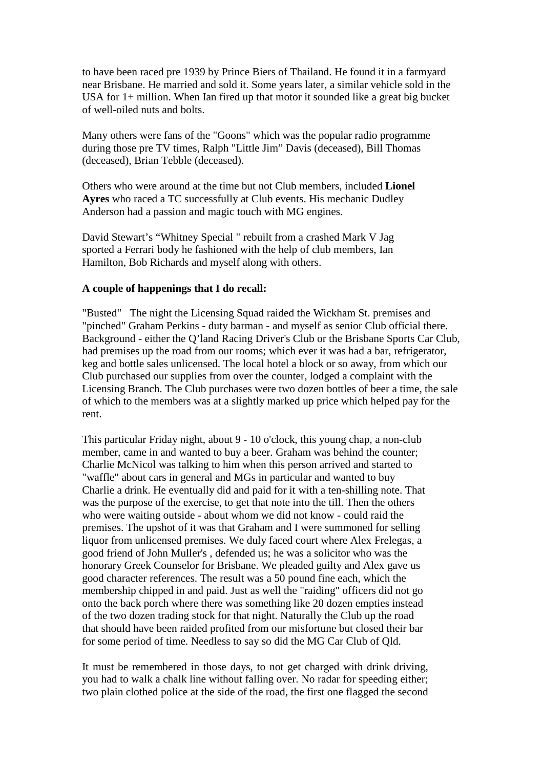to have been raced pre 1939 by Prince Biers of Thailand. He found it in a farmyard near Brisbane. He married and sold it. Some years later, a similar vehicle sold in the USA for 1+ million. When Ian fired up that motor it sounded like a great big bucket of well-oiled nuts and bolts.

Many others were fans of the "Goons" which was the popular radio programme during those pre TV times, Ralph "Little Jim" Davis (deceased), Bill Thomas (deceased), Brian Tebble (deceased).

Others who were around at the time but not Club members, included **Lionel Ayres** who raced a TC successfully at Club events. His mechanic Dudley Anderson had a passion and magic touch with MG engines.

David Stewart's "Whitney Special " rebuilt from a crashed Mark V Jag sported a Ferrari body he fashioned with the help of club members, Ian Hamilton, Bob Richards and myself along with others.

## **A couple of happenings that I do recall:**

"Busted" The night the Licensing Squad raided the Wickham St. premises and "pinched" Graham Perkins - duty barman - and myself as senior Club official there. Background - either the Q'land Racing Driver's Club or the Brisbane Sports Car Club, had premises up the road from our rooms; which ever it was had a bar, refrigerator, keg and bottle sales unlicensed. The local hotel a block or so away, from which our Club purchased our supplies from over the counter, lodged a complaint with the Licensing Branch. The Club purchases were two dozen bottles of beer a time, the sale of which to the members was at a slightly marked up price which helped pay for the rent.

This particular Friday night, about 9 - 10 o'clock, this young chap, a non-club member, came in and wanted to buy a beer. Graham was behind the counter; Charlie McNicol was talking to him when this person arrived and started to "waffle" about cars in general and MGs in particular and wanted to buy Charlie a drink. He eventually did and paid for it with a ten-shilling note. That was the purpose of the exercise, to get that note into the till. Then the others who were waiting outside - about whom we did not know - could raid the premises. The upshot of it was that Graham and I were summoned for selling liquor from unlicensed premises. We duly faced court where Alex Frelegas, a good friend of John Muller's , defended us; he was a solicitor who was the honorary Greek Counselor for Brisbane. We pleaded guilty and Alex gave us good character references. The result was a 50 pound fine each, which the membership chipped in and paid. Just as well the "raiding" officers did not go onto the back porch where there was something like 20 dozen empties instead of the two dozen trading stock for that night. Naturally the Club up the road that should have been raided profited from our misfortune but closed their bar for some period of time. Needless to say so did the MG Car Club of Qld.

It must be remembered in those days, to not get charged with drink driving, you had to walk a chalk line without falling over. No radar for speeding either; two plain clothed police at the side of the road, the first one flagged the second